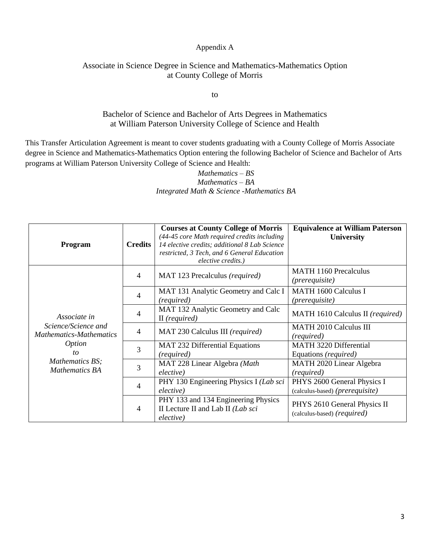#### Appendix A

## Associate in Science Degree in Science and Mathematics-Mathematics Option at County College of Morris

to

### Bachelor of Science and Bachelor of Arts Degrees in Mathematics at William Paterson University College of Science and Health

This Transfer Articulation Agreement is meant to cover students graduating with a County College of Morris Associate degree in Science and Mathematics-Mathematics Option entering the following Bachelor of Science and Bachelor of Arts programs at William Paterson University College of Science and Health:

### *Mathematics – BS Mathematics – BA Integrated Math & Science -Mathematics BA*

| Program                                                                                                                                  | <b>Credits</b> | <b>Courses at County College of Morris</b><br>(44-45 core Math required credits including<br>14 elective credits; additional 8 Lab Science<br>restricted, 3 Tech, and 6 General Education<br>elective credits.) | <b>Equivalence at William Paterson</b><br><b>University</b>    |
|------------------------------------------------------------------------------------------------------------------------------------------|----------------|-----------------------------------------------------------------------------------------------------------------------------------------------------------------------------------------------------------------|----------------------------------------------------------------|
| Associate in<br>Science/Science and<br><b>Mathematics-Mathematics</b><br><i>Option</i><br>to<br>Mathematics BS;<br><b>Mathematics BA</b> | $\overline{4}$ | MAT 123 Precalculus (required)                                                                                                                                                                                  | <b>MATH 1160 Precalculus</b><br>( <i>prerequisite</i> )        |
|                                                                                                                                          | $\overline{4}$ | MAT 131 Analytic Geometry and Calc I<br>(required)                                                                                                                                                              | <b>MATH 1600 Calculus I</b><br>( <i>prerequisite</i> )         |
|                                                                                                                                          | $\overline{4}$ | MAT 132 Analytic Geometry and Calc<br>$II$ (required)                                                                                                                                                           | MATH 1610 Calculus II (required)                               |
|                                                                                                                                          | $\overline{4}$ | MAT 230 Calculus III (required)                                                                                                                                                                                 | <b>MATH 2010 Calculus III</b><br>(required)                    |
|                                                                                                                                          | 3              | <b>MAT 232 Differential Equations</b><br>(required)                                                                                                                                                             | <b>MATH 3220 Differential</b><br>Equations (required)          |
|                                                                                                                                          | 3              | MAT 228 Linear Algebra (Math<br>elective)                                                                                                                                                                       | MATH 2020 Linear Algebra<br>(required)                         |
|                                                                                                                                          | $\overline{4}$ | PHY 130 Engineering Physics I (Lab sci<br>elective)                                                                                                                                                             | PHYS 2600 General Physics I<br>(calculus-based) (prerequisite) |
|                                                                                                                                          | $\overline{4}$ | PHY 133 and 134 Engineering Physics<br>II Lecture II and Lab II (Lab sci<br>elective)                                                                                                                           | PHYS 2610 General Physics II<br>(calculus-based) (required)    |